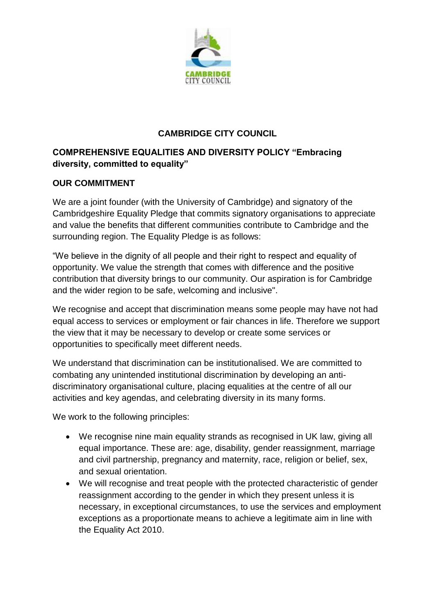

## **CAMBRIDGE CITY COUNCIL**

# **COMPREHENSIVE EQUALITIES AND DIVERSITY POLICY "Embracing diversity, committed to equality"**

## **OUR COMMITMENT**

We are a joint founder (with the University of Cambridge) and signatory of the Cambridgeshire Equality Pledge that commits signatory organisations to appreciate and value the benefits that different communities contribute to Cambridge and the surrounding region. The Equality Pledge is as follows:

"We believe in the dignity of all people and their right to respect and equality of opportunity. We value the strength that comes with difference and the positive contribution that diversity brings to our community. Our aspiration is for Cambridge and the wider region to be safe, welcoming and inclusive".

We recognise and accept that discrimination means some people may have not had equal access to services or employment or fair chances in life. Therefore we support the view that it may be necessary to develop or create some services or opportunities to specifically meet different needs.

We understand that discrimination can be institutionalised. We are committed to combating any unintended institutional discrimination by developing an antidiscriminatory organisational culture, placing equalities at the centre of all our activities and key agendas, and celebrating diversity in its many forms.

We work to the following principles:

- We recognise nine main equality strands as recognised in UK law, giving all equal importance. These are: age, disability, gender reassignment, marriage and civil partnership, pregnancy and maternity, race, religion or belief, sex, and sexual orientation.
- We will recognise and treat people with the protected characteristic of gender reassignment according to the gender in which they present unless it is necessary, in exceptional circumstances, to use the services and employment exceptions as a proportionate means to achieve a legitimate aim in line with the Equality Act 2010.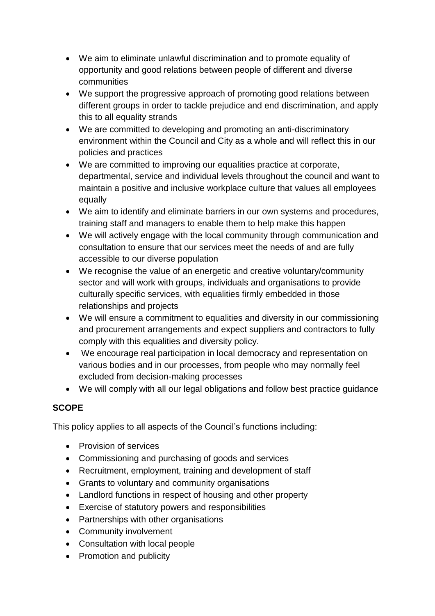- We aim to eliminate unlawful discrimination and to promote equality of opportunity and good relations between people of different and diverse communities
- We support the progressive approach of promoting good relations between different groups in order to tackle prejudice and end discrimination, and apply this to all equality strands
- We are committed to developing and promoting an anti-discriminatory environment within the Council and City as a whole and will reflect this in our policies and practices
- We are committed to improving our equalities practice at corporate, departmental, service and individual levels throughout the council and want to maintain a positive and inclusive workplace culture that values all employees equally
- We aim to identify and eliminate barriers in our own systems and procedures, training staff and managers to enable them to help make this happen
- We will actively engage with the local community through communication and consultation to ensure that our services meet the needs of and are fully accessible to our diverse population
- We recognise the value of an energetic and creative voluntary/community sector and will work with groups, individuals and organisations to provide culturally specific services, with equalities firmly embedded in those relationships and projects
- We will ensure a commitment to equalities and diversity in our commissioning and procurement arrangements and expect suppliers and contractors to fully comply with this equalities and diversity policy.
- We encourage real participation in local democracy and representation on various bodies and in our processes, from people who may normally feel excluded from decision-making processes
- We will comply with all our legal obligations and follow best practice guidance

## **SCOPE**

This policy applies to all aspects of the Council's functions including:

- Provision of services
- Commissioning and purchasing of goods and services
- Recruitment, employment, training and development of staff
- Grants to voluntary and community organisations
- Landlord functions in respect of housing and other property
- Exercise of statutory powers and responsibilities
- Partnerships with other organisations
- Community involvement
- Consultation with local people
- Promotion and publicity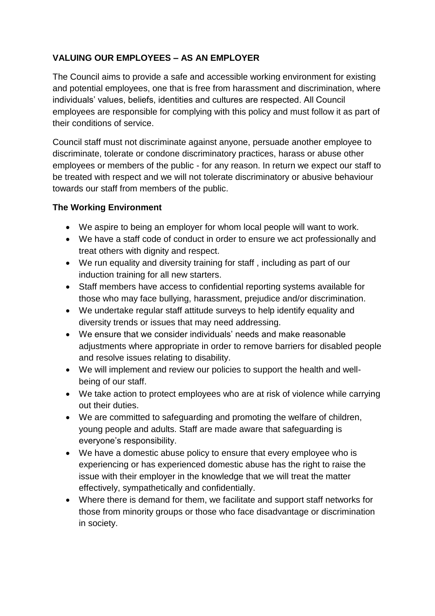## **VALUING OUR EMPLOYEES – AS AN EMPLOYER**

The Council aims to provide a safe and accessible working environment for existing and potential employees, one that is free from harassment and discrimination, where individuals' values, beliefs, identities and cultures are respected. All Council employees are responsible for complying with this policy and must follow it as part of their conditions of service.

Council staff must not discriminate against anyone, persuade another employee to discriminate, tolerate or condone discriminatory practices, harass or abuse other employees or members of the public - for any reason. In return we expect our staff to be treated with respect and we will not tolerate discriminatory or abusive behaviour towards our staff from members of the public.

### **The Working Environment**

- We aspire to being an employer for whom local people will want to work.
- We have a staff code of conduct in order to ensure we act professionally and treat others with dignity and respect.
- We run equality and diversity training for staff , including as part of our induction training for all new starters.
- Staff members have access to confidential reporting systems available for those who may face bullying, harassment, prejudice and/or discrimination.
- We undertake regular staff attitude surveys to help identify equality and diversity trends or issues that may need addressing.
- We ensure that we consider individuals' needs and make reasonable adjustments where appropriate in order to remove barriers for disabled people and resolve issues relating to disability.
- We will implement and review our policies to support the health and wellbeing of our staff.
- We take action to protect employees who are at risk of violence while carrying out their duties.
- We are committed to safeguarding and promoting the welfare of children, young people and adults. Staff are made aware that safeguarding is everyone's responsibility.
- We have a domestic abuse policy to ensure that every employee who is experiencing or has experienced domestic abuse has the right to raise the issue with their employer in the knowledge that we will treat the matter effectively, sympathetically and confidentially.
- Where there is demand for them, we facilitate and support staff networks for those from minority groups or those who face disadvantage or discrimination in society.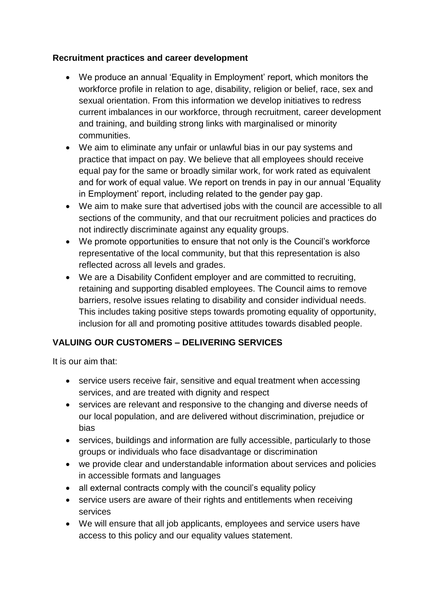#### **Recruitment practices and career development**

- We produce an annual 'Equality in Employment' report, which monitors the workforce profile in relation to age, disability, religion or belief, race, sex and sexual orientation. From this information we develop initiatives to redress current imbalances in our workforce, through recruitment, career development and training, and building strong links with marginalised or minority communities.
- We aim to eliminate any unfair or unlawful bias in our pay systems and practice that impact on pay. We believe that all employees should receive equal pay for the same or broadly similar work, for work rated as equivalent and for work of equal value. We report on trends in pay in our annual 'Equality in Employment' report, including related to the gender pay gap.
- We aim to make sure that advertised jobs with the council are accessible to all sections of the community, and that our recruitment policies and practices do not indirectly discriminate against any equality groups.
- We promote opportunities to ensure that not only is the Council's workforce representative of the local community, but that this representation is also reflected across all levels and grades.
- We are a Disability Confident employer and are committed to recruiting, retaining and supporting disabled employees. The Council aims to remove barriers, resolve issues relating to disability and consider individual needs. This includes taking positive steps towards promoting equality of opportunity, inclusion for all and promoting positive attitudes towards disabled people.

## **VALUING OUR CUSTOMERS – DELIVERING SERVICES**

It is our aim that:

- service users receive fair, sensitive and equal treatment when accessing services, and are treated with dignity and respect
- services are relevant and responsive to the changing and diverse needs of our local population, and are delivered without discrimination, prejudice or bias
- services, buildings and information are fully accessible, particularly to those groups or individuals who face disadvantage or discrimination
- we provide clear and understandable information about services and policies in accessible formats and languages
- all external contracts comply with the council's equality policy
- service users are aware of their rights and entitlements when receiving services
- We will ensure that all job applicants, employees and service users have access to this policy and our equality values statement.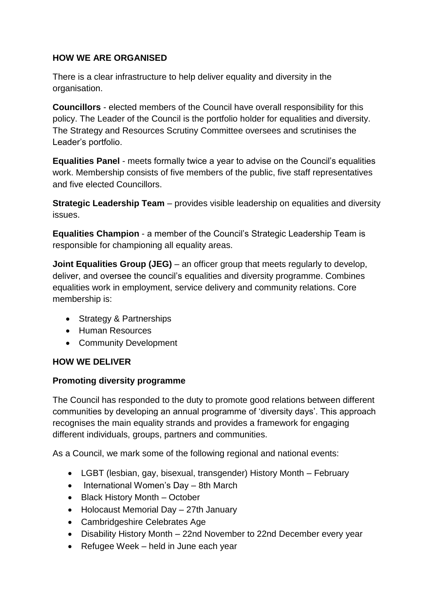### **HOW WE ARE ORGANISED**

There is a clear infrastructure to help deliver equality and diversity in the organisation.

**Councillors** - elected members of the Council have overall responsibility for this policy. The Leader of the Council is the portfolio holder for equalities and diversity. The Strategy and Resources Scrutiny Committee oversees and scrutinises the Leader's portfolio.

**Equalities Panel** - meets formally twice a year to advise on the Council's equalities work. Membership consists of five members of the public, five staff representatives and five elected Councillors.

**Strategic Leadership Team** – provides visible leadership on equalities and diversity issues.

**Equalities Champion** - a member of the Council's Strategic Leadership Team is responsible for championing all equality areas.

**Joint Equalities Group (JEG)** – an officer group that meets regularly to develop, deliver, and oversee the council's equalities and diversity programme. Combines equalities work in employment, service delivery and community relations. Core membership is:

- Strategy & Partnerships
- Human Resources
- Community Development

#### **HOW WE DELIVER**

#### **Promoting diversity programme**

The Council has responded to the duty to promote good relations between different communities by developing an annual programme of 'diversity days'. This approach recognises the main equality strands and provides a framework for engaging different individuals, groups, partners and communities.

As a Council, we mark some of the following regional and national events:

- LGBT (lesbian, gay, bisexual, transgender) History Month February
- International Women's Day 8th March
- Black History Month October
- Holocaust Memorial Day 27th January
- Cambridgeshire Celebrates Age
- Disability History Month 22nd November to 22nd December every year
- Refugee Week held in June each year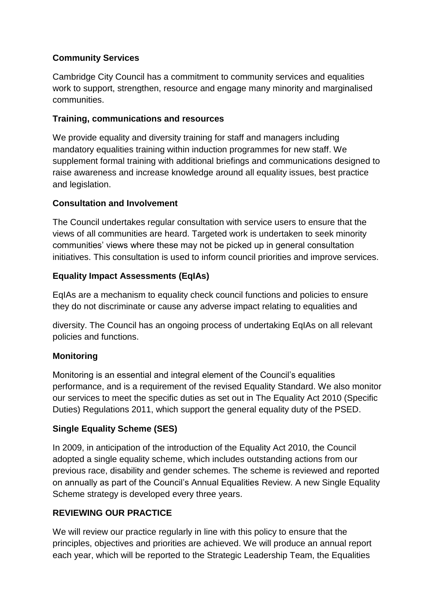### **Community Services**

Cambridge City Council has a commitment to community services and equalities work to support, strengthen, resource and engage many minority and marginalised communities.

#### **Training, communications and resources**

We provide equality and diversity training for staff and managers including mandatory equalities training within induction programmes for new staff. We supplement formal training with additional briefings and communications designed to raise awareness and increase knowledge around all equality issues, best practice and legislation.

### **Consultation and Involvement**

The Council undertakes regular consultation with service users to ensure that the views of all communities are heard. Targeted work is undertaken to seek minority communities' views where these may not be picked up in general consultation initiatives. This consultation is used to inform council priorities and improve services.

## **Equality Impact Assessments (EqIAs)**

EqIAs are a mechanism to equality check council functions and policies to ensure they do not discriminate or cause any adverse impact relating to equalities and

diversity. The Council has an ongoing process of undertaking EqIAs on all relevant policies and functions.

## **Monitoring**

Monitoring is an essential and integral element of the Council's equalities performance, and is a requirement of the revised Equality Standard. We also monitor our services to meet the specific duties as set out in The Equality Act 2010 (Specific Duties) Regulations 2011, which support the general equality duty of the PSED.

## **Single Equality Scheme (SES)**

In 2009, in anticipation of the introduction of the Equality Act 2010, the Council adopted a single equality scheme, which includes outstanding actions from our previous race, disability and gender schemes. The scheme is reviewed and reported on annually as part of the Council's Annual Equalities Review. A new Single Equality Scheme strategy is developed every three years.

## **REVIEWING OUR PRACTICE**

We will review our practice regularly in line with this policy to ensure that the principles, objectives and priorities are achieved. We will produce an annual report each year, which will be reported to the Strategic Leadership Team, the Equalities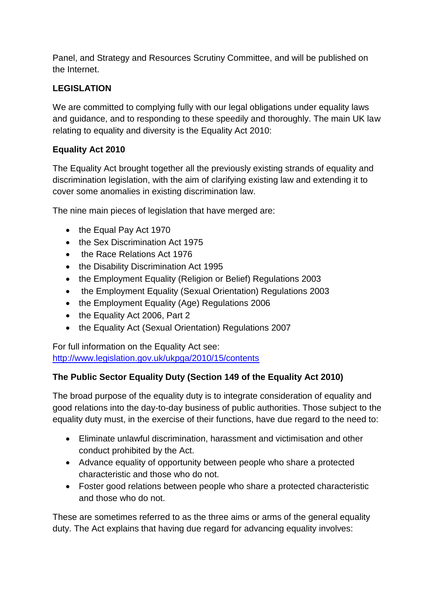Panel, and Strategy and Resources Scrutiny Committee, and will be published on the Internet.

### **LEGISLATION**

We are committed to complying fully with our legal obligations under equality laws and guidance, and to responding to these speedily and thoroughly. The main UK law relating to equality and diversity is the Equality Act 2010:

### **Equality Act 2010**

The Equality Act brought together all the previously existing strands of equality and discrimination legislation, with the aim of clarifying existing law and extending it to cover some anomalies in existing discrimination law.

The nine main pieces of legislation that have merged are:

- the Equal Pay Act 1970
- the Sex Discrimination Act 1975
- the Race Relations Act 1976
- the Disability Discrimination Act 1995
- the Employment Equality (Religion or Belief) Regulations 2003
- the Employment Equality (Sexual Orientation) Regulations 2003
- the Employment Equality (Age) Regulations 2006
- the Equality Act 2006, Part 2
- the Equality Act (Sexual Orientation) Regulations 2007

For full information on the Equality Act see: <http://www.legislation.gov.uk/ukpga/2010/15/contents>

#### **The Public Sector Equality Duty (Section 149 of the Equality Act 2010)**

The broad purpose of the equality duty is to integrate consideration of equality and good relations into the day-to-day business of public authorities. Those subject to the equality duty must, in the exercise of their functions, have due regard to the need to:

- Eliminate unlawful discrimination, harassment and victimisation and other conduct prohibited by the Act.
- Advance equality of opportunity between people who share a protected characteristic and those who do not.
- Foster good relations between people who share a protected characteristic and those who do not.

These are sometimes referred to as the three aims or arms of the general equality duty. The Act explains that having due regard for advancing equality involves: